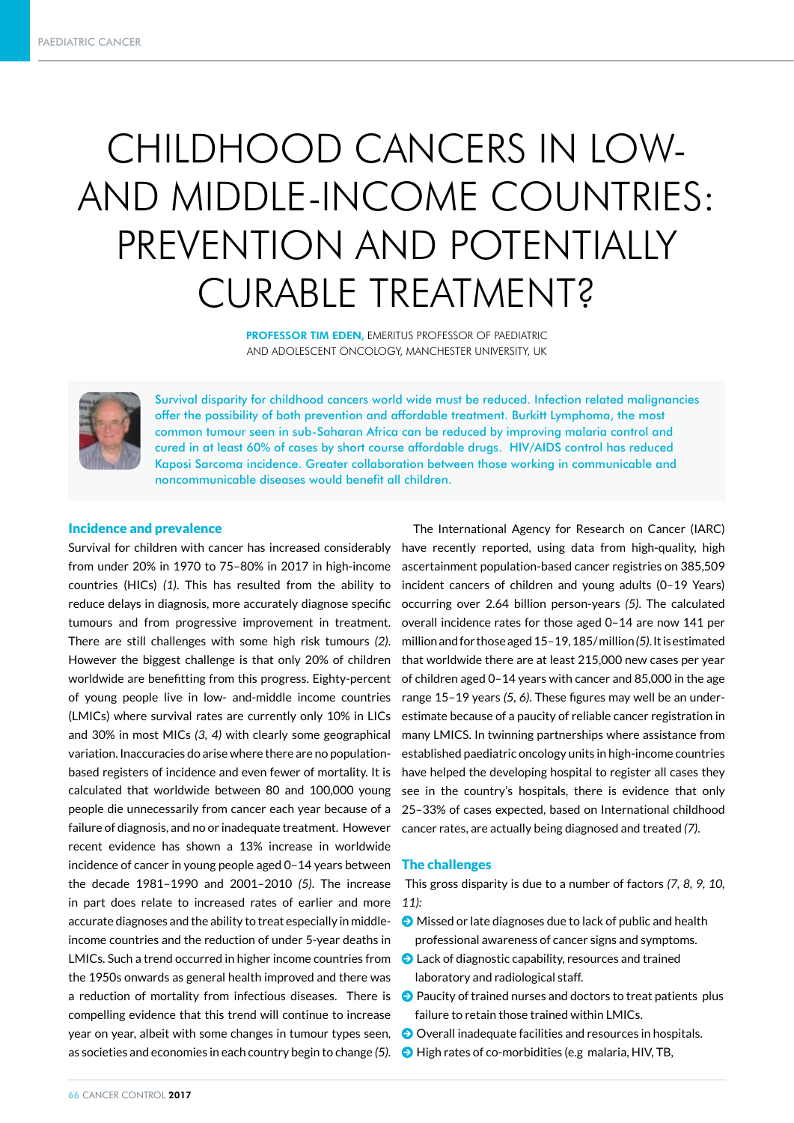# CHILDHOOD CANCERS IN LOW-AND MIDDLE-INCOME COUNTRIES: PREVENTION AND POTENTIALLY CURABLE TREATMENT?

PROFESSOR TIM EDEN, EMERITUS PROFESSOR OF PAEDIATRIC AND ADOLESCENT ONCOLOGY, MANCHESTER UNIVERSITY, UK



Survival disparity for childhood cancers world wide must be reduced. Infection related malignancies offer the possibility of both prevention and affordable treatment. Burkitt Lymphoma, the most common tumour seen in sub-Saharan Africa can be reduced by improving malaria control and cured in at least 60% of cases by short course affordable drugs. HIV/AIDS control has reduced Kaposi Sarcoma incidence. Greater collaboration between those working in communicable and noncommunicable diseases would benefit all children.

#### Incidence and prevalence

Survival for children with cancer has increased considerably from under 20% in 1970 to 75–80% in 2017 in high-income countries (HICs) *(1)*. This has resulted from the ability to reduce delays in diagnosis, more accurately diagnose specific tumours and from progressive improvement in treatment. There are still challenges with some high risk tumours *(2)*. However the biggest challenge is that only 20% of children worldwide are benefitting from this progress. Eighty-percent of young people live in low- and-middle income countries (LMICs) where survival rates are currently only 10% in LICs and 30% in most MICs *(3, 4)* with clearly some geographical variation. Inaccuracies do arise where there are no populationbased registers of incidence and even fewer of mortality. It is calculated that worldwide between 80 and 100,000 young people die unnecessarily from cancer each year because of a failure of diagnosis, and no or inadequate treatment. However recent evidence has shown a 13% increase in worldwide incidence of cancer in young people aged 0–14 years between the decade 1981–1990 and 2001–2010 *(5)*. The increase in part does relate to increased rates of earlier and more accurate diagnoses and the ability to treat especially in middleincome countries and the reduction of under 5-year deaths in LMICs. Such a trend occurred in higher income countries from the 1950s onwards as general health improved and there was a reduction of mortality from infectious diseases. There is compelling evidence that this trend will continue to increase year on year, albeit with some changes in tumour types seen, as societies and economies in each country begin to change *(5)*.

The International Agency for Research on Cancer (IARC) have recently reported, using data from high-quality, high ascertainment population-based cancer registries on 385,509 incident cancers of children and young adults (0–19 Years) occurring over 2.64 billion person-years *(5)*. The calculated overall incidence rates for those aged 0–14 are now 141 per million and for those aged 15–19, 185/ million *(5)*. It is estimated that worldwide there are at least 215,000 new cases per year of children aged 0–14 years with cancer and 85,000 in the age range 15–19 years *(5, 6)*. These figures may well be an underestimate because of a paucity of reliable cancer registration in many LMICS. In twinning partnerships where assistance from established paediatric oncology units in high-income countries have helped the developing hospital to register all cases they see in the country's hospitals, there is evidence that only 25–33% of cases expected, based on International childhood cancer rates, are actually being diagnosed and treated *(7)*.

#### The challenges

 This gross disparity is due to a number of factors *(7, 8, 9, 10, 11):*

- $\bullet$  Missed or late diagnoses due to lack of public and health professional awareness of cancer signs and symptoms.
- $\bullet$  Lack of diagnostic capability, resources and trained laboratory and radiological staff.
- $\bullet$  Paucity of trained nurses and doctors to treat patients plus failure to retain those trained within LMICs.
- $\bullet$  Overall inadequate facilities and resources in hospitals.
- $\bullet$  High rates of co-morbidities (e.g malaria, HIV, TB,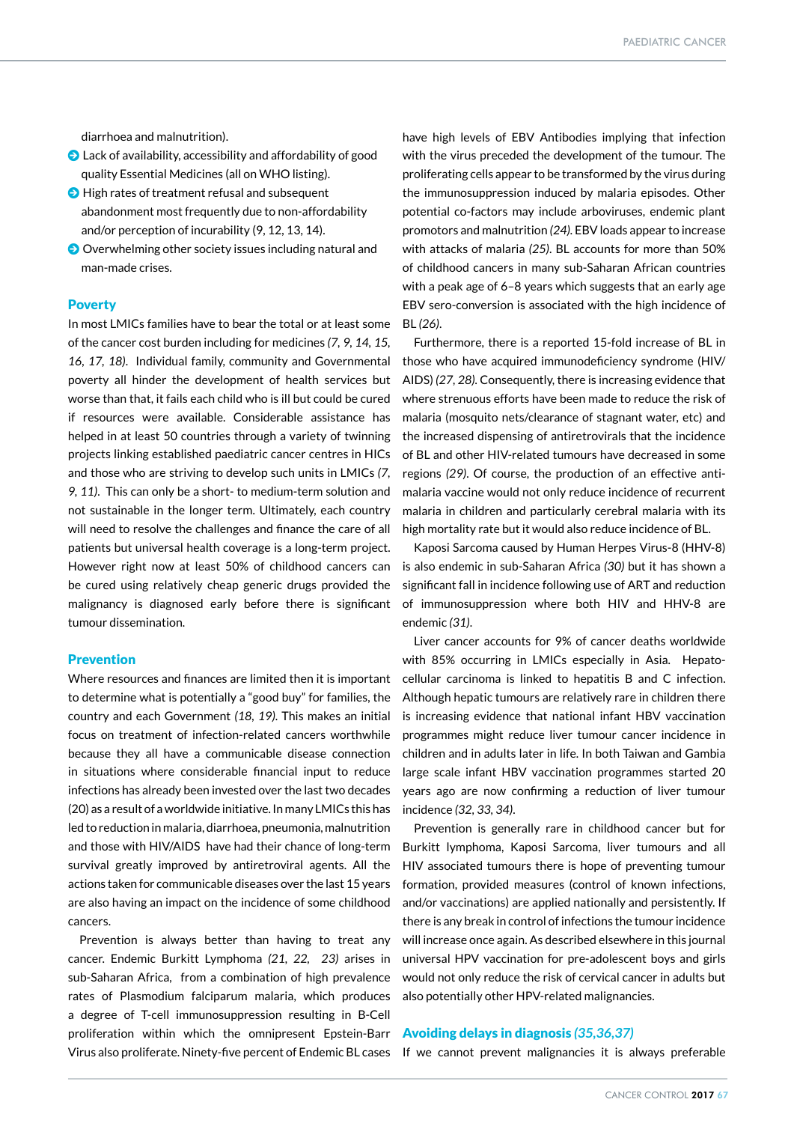diarrhoea and malnutrition).

- $\bullet$  Lack of availability, accessibility and affordability of good quality Essential Medicines (all on WHO listing).
- $\bigodot$  High rates of treatment refusal and subsequent abandonment most frequently due to non-affordability and/or perception of incurability (9, 12, 13, 14).
- $\odot$  Overwhelming other society issues including natural and man-made crises.

#### **Poverty**

In most LMICs families have to bear the total or at least some of the cancer cost burden including for medicines *(7, 9, 14, 15, 16, 17, 18)*. Individual family, community and Governmental poverty all hinder the development of health services but worse than that, it fails each child who is ill but could be cured if resources were available. Considerable assistance has helped in at least 50 countries through a variety of twinning projects linking established paediatric cancer centres in HICs and those who are striving to develop such units in LMICs *(7, 9, 11)*. This can only be a short- to medium-term solution and not sustainable in the longer term. Ultimately, each country will need to resolve the challenges and finance the care of all patients but universal health coverage is a long-term project. However right now at least 50% of childhood cancers can be cured using relatively cheap generic drugs provided the malignancy is diagnosed early before there is significant tumour dissemination.

# Prevention

Where resources and finances are limited then it is important to determine what is potentially a "good buy" for families, the country and each Government *(18, 19)*. This makes an initial focus on treatment of infection-related cancers worthwhile because they all have a communicable disease connection in situations where considerable financial input to reduce infections has already been invested over the last two decades (20) as a result of a worldwide initiative. In many LMICs this has led to reduction in malaria, diarrhoea, pneumonia, malnutrition and those with HIV/AIDS have had their chance of long-term survival greatly improved by antiretroviral agents. All the actions taken for communicable diseases over the last 15 years are also having an impact on the incidence of some childhood cancers.

Prevention is always better than having to treat any cancer. Endemic Burkitt Lymphoma *(21, 22, 23)* arises in sub-Saharan Africa, from a combination of high prevalence rates of Plasmodium falciparum malaria, which produces a degree of T-cell immunosuppression resulting in B-Cell proliferation within which the omnipresent Epstein-Barr Virus also proliferate. Ninety-five percent of Endemic BL cases

have high levels of EBV Antibodies implying that infection with the virus preceded the development of the tumour. The proliferating cells appear to be transformed by the virus during the immunosuppression induced by malaria episodes. Other potential co-factors may include arboviruses, endemic plant promotors and malnutrition *(24).* EBV loads appear to increase with attacks of malaria *(25)*. BL accounts for more than 50% of childhood cancers in many sub-Saharan African countries with a peak age of 6–8 years which suggests that an early age EBV sero-conversion is associated with the high incidence of BL *(26)*.

Furthermore, there is a reported 15-fold increase of BL in those who have acquired immunodeficiency syndrome (HIV/ AIDS) *(27, 28).* Consequently, there is increasing evidence that where strenuous efforts have been made to reduce the risk of malaria (mosquito nets/clearance of stagnant water, etc) and the increased dispensing of antiretrovirals that the incidence of BL and other HIV-related tumours have decreased in some regions *(29)*. Of course, the production of an effective antimalaria vaccine would not only reduce incidence of recurrent malaria in children and particularly cerebral malaria with its high mortality rate but it would also reduce incidence of BL.

Kaposi Sarcoma caused by Human Herpes Virus-8 (HHV-8) is also endemic in sub-Saharan Africa *(30)* but it has shown a significant fall in incidence following use of ART and reduction of immunosuppression where both HIV and HHV-8 are endemic *(31)*.

Liver cancer accounts for 9% of cancer deaths worldwide with 85% occurring in LMICs especially in Asia. Hepatocellular carcinoma is linked to hepatitis B and C infection. Although hepatic tumours are relatively rare in children there is increasing evidence that national infant HBV vaccination programmes might reduce liver tumour cancer incidence in children and in adults later in life. In both Taiwan and Gambia large scale infant HBV vaccination programmes started 20 years ago are now confirming a reduction of liver tumour incidence *(32, 33, 34)*.

Prevention is generally rare in childhood cancer but for Burkitt lymphoma, Kaposi Sarcoma, liver tumours and all HIV associated tumours there is hope of preventing tumour formation, provided measures (control of known infections, and/or vaccinations) are applied nationally and persistently. If there is any break in control of infections the tumour incidence will increase once again. As described elsewhere in this journal universal HPV vaccination for pre-adolescent boys and girls would not only reduce the risk of cervical cancer in adults but also potentially other HPV-related malignancies.

# Avoiding delays in diagnosis *(35,36,37)*

If we cannot prevent malignancies it is always preferable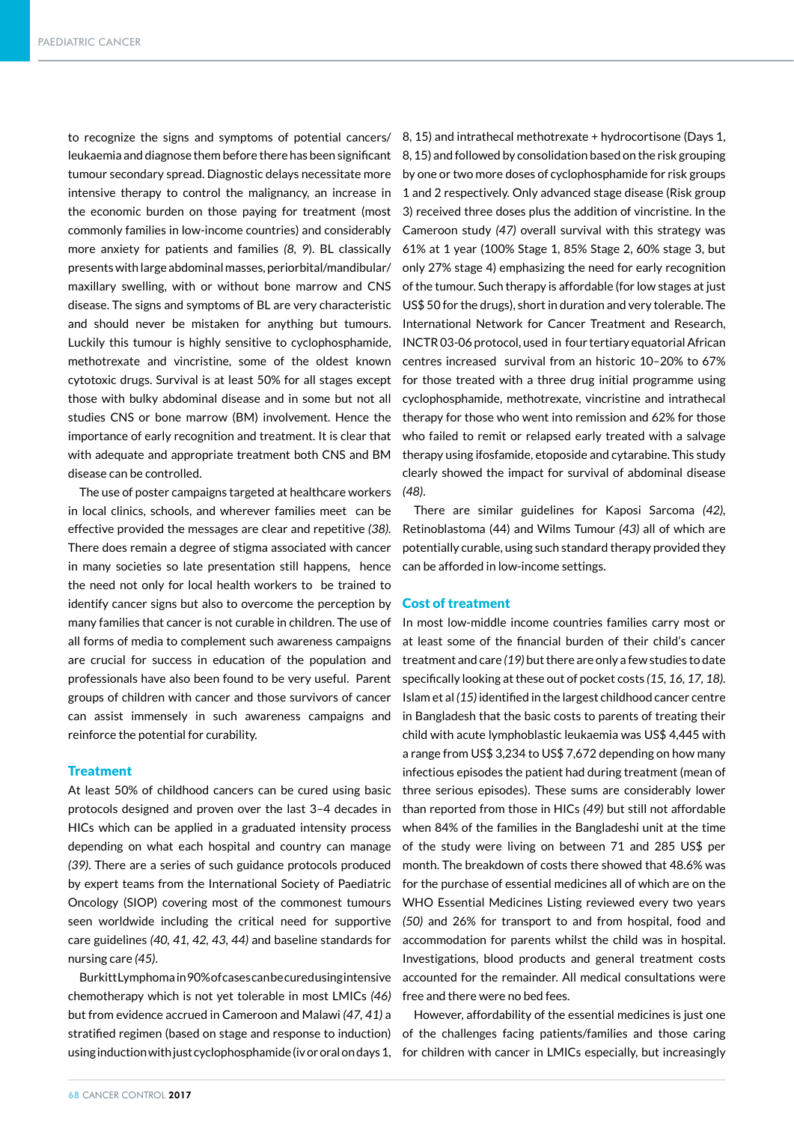to recognize the signs and symptoms of potential cancers/ leukaemia and diagnose them before there has been significant tumour secondary spread. Diagnostic delays necessitate more intensive therapy to control the malignancy, an increase in the economic burden on those paying for treatment (most commonly families in low-income countries) and considerably more anxiety for patients and families *(8, 9*). BL classically presents with large abdominal masses, periorbital/mandibular/ maxillary swelling, with or without bone marrow and CNS disease. The signs and symptoms of BL are very characteristic and should never be mistaken for anything but tumours. Luckily this tumour is highly sensitive to cyclophosphamide, methotrexate and vincristine, some of the oldest known cytotoxic drugs. Survival is at least 50% for all stages except those with bulky abdominal disease and in some but not all studies CNS or bone marrow (BM) involvement. Hence the importance of early recognition and treatment. It is clear that with adequate and appropriate treatment both CNS and BM disease can be controlled.

The use of poster campaigns targeted at healthcare workers in local clinics, schools, and wherever families meet can be effective provided the messages are clear and repetitive *(38).* There does remain a degree of stigma associated with cancer in many societies so late presentation still happens, hence the need not only for local health workers to be trained to identify cancer signs but also to overcome the perception by many families that cancer is not curable in children. The use of all forms of media to complement such awareness campaigns are crucial for success in education of the population and professionals have also been found to be very useful. Parent groups of children with cancer and those survivors of cancer can assist immensely in such awareness campaigns and reinforce the potential for curability.

### **Treatment**

At least 50% of childhood cancers can be cured using basic protocols designed and proven over the last 3–4 decades in HICs which can be applied in a graduated intensity process depending on what each hospital and country can manage *(39)*. There are a series of such guidance protocols produced by expert teams from the International Society of Paediatric Oncology (SIOP) covering most of the commonest tumours seen worldwide including the critical need for supportive care guidelines *(40, 41, 42, 43, 44)* and baseline standards for nursing care *(45)*.

Burkitt Lymphoma in 90% of cases can be cured using intensive chemotherapy which is not yet tolerable in most LMICs *(46)*  but from evidence accrued in Cameroon and Malawi *(47, 41)* a stratified regimen (based on stage and response to induction)

8, 15) and intrathecal methotrexate + hydrocortisone (Days 1, 8, 15) and followed by consolidation based on the risk grouping by one or two more doses of cyclophosphamide for risk groups 1 and 2 respectively. Only advanced stage disease (Risk group 3) received three doses plus the addition of vincristine. In the Cameroon study *(47)* overall survival with this strategy was 61% at 1 year (100% Stage 1, 85% Stage 2, 60% stage 3, but only 27% stage 4) emphasizing the need for early recognition of the tumour. Such therapy is affordable (for low stages at just US\$ 50 for the drugs), short in duration and very tolerable. The International Network for Cancer Treatment and Research, INCTR 03-06 protocol, used in four tertiary equatorial African centres increased survival from an historic 10–20% to 67% for those treated with a three drug initial programme using cyclophosphamide, methotrexate, vincristine and intrathecal therapy for those who went into remission and 62% for those who failed to remit or relapsed early treated with a salvage therapy using ifosfamide, etoposide and cytarabine. This study clearly showed the impact for survival of abdominal disease *(48)*.

There are similar guidelines for Kaposi Sarcoma *(42),*  Retinoblastoma (44) and Wilms Tumour *(43)* all of which are potentially curable, using such standard therapy provided they can be afforded in low-income settings.

### Cost of treatment

In most low-middle income countries families carry most or at least some of the financial burden of their child's cancer treatment and care *(19)* but there are only a few studies to date specifically looking at these out of pocket costs *(15, 16, 17, 18).* Islam et al *(15)* identified in the largest childhood cancer centre in Bangladesh that the basic costs to parents of treating their child with acute lymphoblastic leukaemia was US\$ 4,445 with a range from US\$ 3,234 to US\$ 7,672 depending on how many infectious episodes the patient had during treatment (mean of three serious episodes). These sums are considerably lower than reported from those in HICs *(49)* but still not affordable when 84% of the families in the Bangladeshi unit at the time of the study were living on between 71 and 285 US\$ per month. The breakdown of costs there showed that 48.6% was for the purchase of essential medicines all of which are on the WHO Essential Medicines Listing reviewed every two years *(50)* and 26% for transport to and from hospital, food and accommodation for parents whilst the child was in hospital. Investigations, blood products and general treatment costs accounted for the remainder. All medical consultations were free and there were no bed fees.

However, affordability of the essential medicines is just one of the challenges facing patients/families and those caring using induction with just cyclophosphamide (iv or oral on days 1, for children with cancer in LMICs especially, but increasingly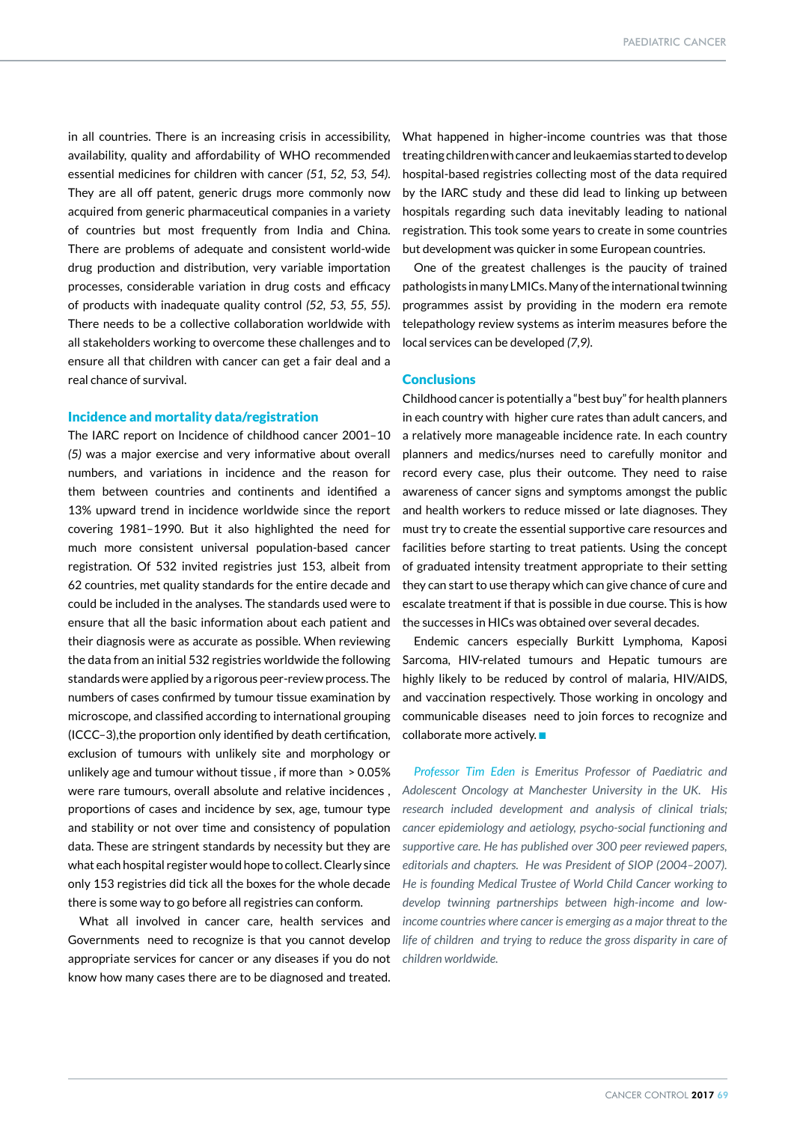in all countries. There is an increasing crisis in accessibility, availability, quality and affordability of WHO recommended essential medicines for children with cancer *(51, 52, 53, 54)*. They are all off patent, generic drugs more commonly now acquired from generic pharmaceutical companies in a variety of countries but most frequently from India and China. There are problems of adequate and consistent world-wide drug production and distribution, very variable importation processes, considerable variation in drug costs and efficacy of products with inadequate quality control *(52, 53, 55, 55)*. There needs to be a collective collaboration worldwide with all stakeholders working to overcome these challenges and to ensure all that children with cancer can get a fair deal and a real chance of survival.

# Incidence and mortality data/registration

The IARC report on Incidence of childhood cancer 2001–10 *(5)* was a major exercise and very informative about overall numbers, and variations in incidence and the reason for them between countries and continents and identified a 13% upward trend in incidence worldwide since the report covering 1981–1990. But it also highlighted the need for much more consistent universal population-based cancer registration. Of 532 invited registries just 153, albeit from 62 countries, met quality standards for the entire decade and could be included in the analyses. The standards used were to ensure that all the basic information about each patient and their diagnosis were as accurate as possible. When reviewing the data from an initial 532 registries worldwide the following standards were applied by a rigorous peer-review process. The numbers of cases confirmed by tumour tissue examination by microscope, and classified according to international grouping (ICCC–3),the proportion only identified by death certification, exclusion of tumours with unlikely site and morphology or unlikely age and tumour without tissue , if more than > 0.05% were rare tumours, overall absolute and relative incidences , proportions of cases and incidence by sex, age, tumour type and stability or not over time and consistency of population data. These are stringent standards by necessity but they are what each hospital register would hope to collect. Clearly since only 153 registries did tick all the boxes for the whole decade there is some way to go before all registries can conform.

What all involved in cancer care, health services and Governments need to recognize is that you cannot develop appropriate services for cancer or any diseases if you do not know how many cases there are to be diagnosed and treated.

What happened in higher-income countries was that those treating children with cancer and leukaemias started to develop hospital-based registries collecting most of the data required by the IARC study and these did lead to linking up between hospitals regarding such data inevitably leading to national registration. This took some years to create in some countries but development was quicker in some European countries.

One of the greatest challenges is the paucity of trained pathologists in many LMICs. Many of the international twinning programmes assist by providing in the modern era remote telepathology review systems as interim measures before the local services can be developed *(7,9)*.

# **Conclusions**

Childhood cancer is potentially a "best buy" for health planners in each country with higher cure rates than adult cancers, and a relatively more manageable incidence rate. In each country planners and medics/nurses need to carefully monitor and record every case, plus their outcome. They need to raise awareness of cancer signs and symptoms amongst the public and health workers to reduce missed or late diagnoses. They must try to create the essential supportive care resources and facilities before starting to treat patients. Using the concept of graduated intensity treatment appropriate to their setting they can start to use therapy which can give chance of cure and escalate treatment if that is possible in due course. This is how the successes in HICs was obtained over several decades.

Endemic cancers especially Burkitt Lymphoma, Kaposi Sarcoma, HIV-related tumours and Hepatic tumours are highly likely to be reduced by control of malaria, HIV/AIDS, and vaccination respectively. Those working in oncology and communicable diseases need to join forces to recognize and collaborate more actively.  $\blacksquare$ 

*Professor Tim Eden is Emeritus Professor of Paediatric and Adolescent Oncology at Manchester University in the UK. His research included development and analysis of clinical trials; cancer epidemiology and aetiology, psycho-social functioning and supportive care. He has published over 300 peer reviewed papers, editorials and chapters. He was President of SIOP (2004–2007). He is founding Medical Trustee of World Child Cancer working to develop twinning partnerships between high-income and lowincome countries where cancer is emerging as a major threat to the life of children and trying to reduce the gross disparity in care of children worldwide.*